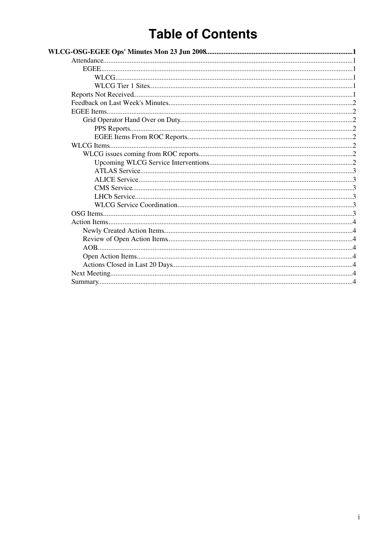# **Table of Contents**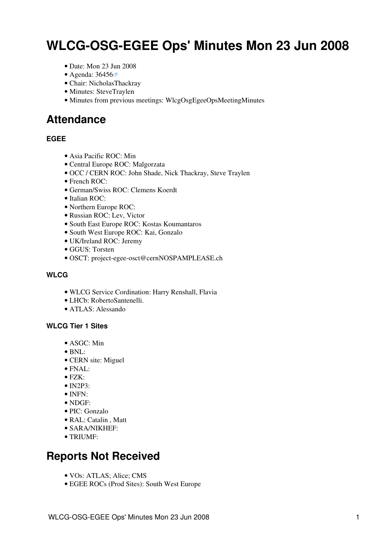# <span id="page-1-0"></span>**WLCG-OSG-EGEE Ops' Minutes Mon 23 Jun 2008**

- Date: Mon 23 Jun 2008
- Agenda: [36456](http://indico.cern.ch/conferenceDisplay.py?confId=36456)
- Chair: [NicholasThackray](https://twiki.cern.ch/twiki/bin/view/Main/NicholasThackray)
- Minutes: [SteveTraylen](https://twiki.cern.ch/twiki/bin/view/Main/SteveTraylen)
- Minutes from previous meetings: [WlcgOsgEgeeOpsMeetingMinutes](https://twiki.cern.ch/twiki/bin/view/EGEE/WlcgOsgEgeeOpsMeetingMinutes)

### <span id="page-1-1"></span>**Attendance**

#### <span id="page-1-2"></span>**EGEE**

- Asia Pacific ROC: Min
- Central Europe ROC: Malgorzata
- OCC / CERN ROC: John Shade, Nick Thackray, Steve Traylen
- French ROC:
- German/Swiss ROC: Clemens Koerdt
- Italian ROC:
- Northern Europe ROC:
- Russian ROC: Lev, Victor
- South East Europe ROC: Kostas Koumantaros
- South West Europe ROC: Kai, Gonzalo
- UK/Ireland ROC: Jeremy
- GGUS: Torsten
- OSCT: [project-egee-osct@cernNOSPAMPLEASE.ch](mailto:project-egee-osct@cernNOSPAMPLEASE.ch)

#### <span id="page-1-3"></span>**WLCG**

- WLCG Service Cordination: Harry Renshall, Flavia
- LHCb: [RobertoSantenelli.](https://twiki.cern.ch/twiki/bin/edit/Main/RobertoSantenelli?topicparent=EGEE.WlcgOsgEgeeOpsMinutes2008x06x23;nowysiwyg=1)
- ATLAS: Alessando

#### <span id="page-1-4"></span>**WLCG Tier 1 Sites**

- ASGC: Min
- $\bullet$  BNL:
- CERN site: Miguel
- FNAL:
- FZK:
- IN2P3:
- INFN:
- [NDGF:](https://twiki.cern.ch/twiki/bin/view/EGEE/NDGF)
- PIC: Gonzalo
- RAL: Catalin , Matt
- SARA/NIKHEF:
- TRIUMF:

### <span id="page-1-5"></span>**Reports Not Received**

- VOs: ATLAS; Alice; CMS
- EGEE ROCs (Prod Sites): South West Europe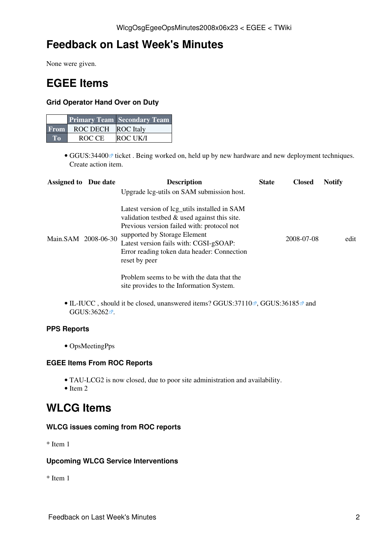# <span id="page-2-0"></span>**Feedback on Last Week's Minutes**

None were given.

## <span id="page-2-1"></span>**EGEE Items**

#### <span id="page-2-2"></span>**Grid Operator Hand Over on Duty**

|             |                    | <b>Primary Team Secondary Team</b> |
|-------------|--------------------|------------------------------------|
| <b>From</b> | ROC DECH ROC Italy |                                    |
| $T_0$       | ROC CE             | <b>ROC UK/I</b>                    |

• GGUS:34400<sup>®</sup> ticket. Being worked on, held up by new hardware and new deployment techniques. Create action item.

| <b>Assigned to Due date</b> | <b>Description</b>                                                                                                                                                                                                                                                                                                                   | <b>State</b> | <b>Closed</b> | <b>Notify</b> |      |
|-----------------------------|--------------------------------------------------------------------------------------------------------------------------------------------------------------------------------------------------------------------------------------------------------------------------------------------------------------------------------------|--------------|---------------|---------------|------|
| Main.SAM 2008-06-30         | Upgrade lcg-utils on SAM submission host.<br>Latest version of lcg_utils installed in SAM<br>validation testbed $\&$ used against this site.<br>Previous version failed with: protocol not<br>supported by Storage Element<br>Latest version fails with: CGSI-gSOAP:<br>Error reading token data header: Connection<br>reset by peer |              | 2008-07-08    |               | edit |
|                             | Problem seems to be with the data that the<br>site provides to the Information System.                                                                                                                                                                                                                                               |              |               |               |      |

• IL-IUCC, should it be closed, unanswered items? [GGUS:37110](https://ggus.eu/ws/ticket_info.php?ticket=37110)<sup>®</sup>, [GGUS:36185](https://ggus.eu/ws/ticket_info.php?ticket=36185)<sup>®</sup> and [GGUS:36262](https://ggus.eu/ws/ticket_info.php?ticket=36262)<sup>a</sup>.

#### <span id="page-2-3"></span>**PPS Reports**

• [OpsMeetingPps](https://twiki.cern.ch/twiki/bin/view/LCG/OpsMeetingPps)

#### <span id="page-2-4"></span>**EGEE Items From ROC Reports**

- TAU-LCG2 is now closed, due to poor site administration and availability.
- $\bullet$  Item 2

### <span id="page-2-5"></span>**WLCG Items**

#### <span id="page-2-6"></span>**WLCG issues coming from ROC reports**

\* Item 1

#### <span id="page-2-7"></span>**Upcoming WLCG Service Interventions**

\* Item 1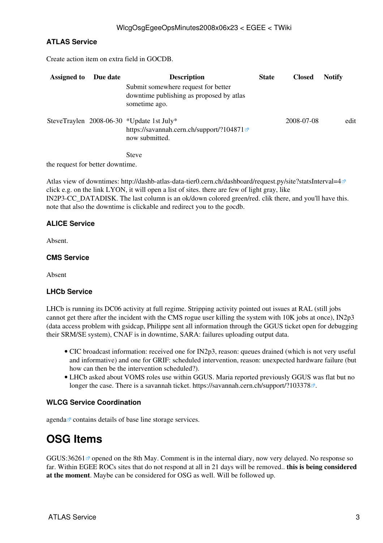#### <span id="page-3-0"></span>**ATLAS Service**

Create action item on extra field in GOCDB.

| <b>Assigned to</b> | Due date | <b>Description</b>                                                                                      | <b>State</b> | <b>Closed</b> | <b>Notify</b> |
|--------------------|----------|---------------------------------------------------------------------------------------------------------|--------------|---------------|---------------|
|                    |          | Submit somewhere request for better<br>downtime publishing as proposed by atlas<br>sometime ago.        |              |               |               |
|                    |          | SteveTraylen 2008-06-30 *Update 1st July*<br>https://savannah.cern.ch/support/?104871<br>now submitted. |              | 2008-07-08    | edit          |
|                    |          | <b>Steve</b>                                                                                            |              |               |               |

the request for better downtime.

Atlas view of downtimes:<http://dashb-atlas-data-tier0.cern.ch/dashboard/request.py/site?statsInterval=4><sup>®</sup> click e.g. on the link LYON, it will open a list of sites. there are few of light gray, like [IN2P3-](https://twiki.cern.ch/twiki/bin/edit/EGEE/IN2P3?topicparent=EGEE.WlcgOsgEgeeOpsMinutes2008x06x23;nowysiwyg=1)CC\_DATADISK. The last column is an ok/down colored green/red. clik there, and you'll have this. note that also the downtime is clickable and redirect you to the gocdb.

#### <span id="page-3-1"></span>**ALICE Service**

Absent.

#### <span id="page-3-2"></span>**CMS Service**

Absent

#### <span id="page-3-3"></span>**LHCb Service**

LHCb is running its DC06 activity at full regime. Stripping activity pointed out issues at RAL (still jobs cannot get there after the incident with the CMS rogue user killing the system with 10K jobs at once), IN2p3 (data access problem with gsidcap, Philippe sent all information through the GGUS ticket open for debugging their SRM/SE system), CNAF is in downtime, SARA: failures uploading output data.

- CIC broadcast information: received one for IN2p3, reason: queues drained (which is not very useful and informative) and one for GRIF: scheduled intervention, reason: unexpected hardware failure (but how can then be the intervention scheduled?).
- LHCb asked about VOMS roles use within GGUS. Maria reported previously GGUS was flat but no longer the case. There is a savannah ticket.<https://savannah.cern.ch/support/?103378> $\mathbb{F}$ .

#### <span id="page-3-4"></span>**WLCG Service Coordination**

[agenda](http://indico.cern.ch/conferenceDisplay.py?confId=36456) <sup>c</sup> contains details of base line storage services.

# <span id="page-3-5"></span>**[OSG](https://twiki.cern.ch/twiki/bin/view/EGEE/OSG) Items**

GGUS:36261<sup>®</sup> opened on the 8th May. Comment is in the internal diary, now very delayed. No response so far. Within EGEE ROCs sites that do not respond at all in 21 days will be removed.. **this is being considered at the moment**. Maybe can be considered for [OSG](https://twiki.cern.ch/twiki/bin/view/EGEE/OSG) as well. Will be followed up.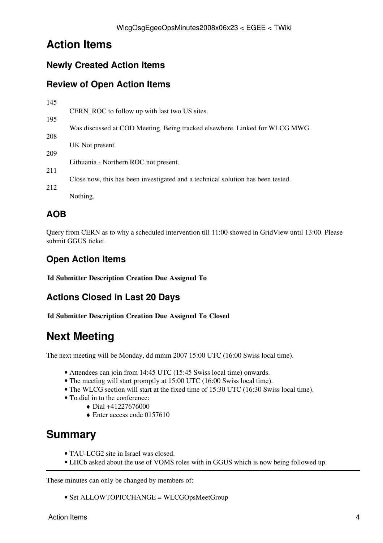# <span id="page-4-0"></span>**Action Items**

### <span id="page-4-1"></span>**Newly Created Action Items**

### <span id="page-4-2"></span>**Review of Open Action Items**

| 145 |                                                                                 |
|-----|---------------------------------------------------------------------------------|
|     | CERN_ROC to follow up with last two US sites.                                   |
| 195 |                                                                                 |
|     | Was discussed at COD Meeting. Being tracked elsewhere. Linked for WLCG MWG.     |
| 208 |                                                                                 |
|     | UK Not present.                                                                 |
| 209 |                                                                                 |
| 211 | Lithuania - Northern ROC not present.                                           |
|     | Close now, this has been investigated and a technical solution has been tested. |
| 212 |                                                                                 |
|     | Nothing.                                                                        |
|     |                                                                                 |

### <span id="page-4-3"></span>**AOB**

Query from CERN as to why a scheduled intervention till 11:00 showed in [GridView](https://twiki.cern.ch/twiki/bin/edit/EGEE/GridView?topicparent=EGEE.WlcgOsgEgeeOpsMinutes2008x06x23;nowysiwyg=1) until 13:00. Please submit GGUS ticket.

### <span id="page-4-4"></span>**Open Action Items**

**Id Submitter Description Creation Due Assigned To**

### <span id="page-4-5"></span>**Actions Closed in Last 20 Days**

**Id Submitter Description Creation Due Assigned To Closed**

# <span id="page-4-6"></span>**Next Meeting**

The next meeting will be Monday, dd mmm 2007 15:00 UTC (16:00 Swiss local time).

- Attendees can join from 14:45 UTC (15:45 Swiss local time) onwards.
- The meeting will start promptly at 15:00 UTC (16:00 Swiss local time).
- The WLCG section will start at the fixed time of 15:30 UTC (16:30 Swiss local time).
- To dial in to the conference:
	- $\bullet$  Dial  $+41227676000$
	- ♦ Enter access code 0157610

## <span id="page-4-7"></span>**Summary**

- TAU-LCG2 site in Israel was closed.
- LHCb asked about the use of VOMS roles with in GGUS which is now being followed up.

These minutes can only be changed by members of:

• Set ALLOWTOPICCHANGE = [WLCGOpsMeetGroup](https://twiki.cern.ch/twiki/bin/view/Main/WLCGOpsMeetGroup)